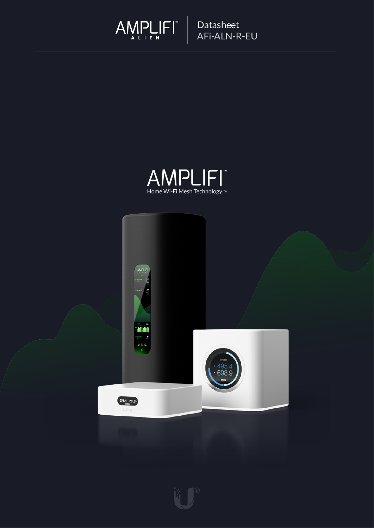



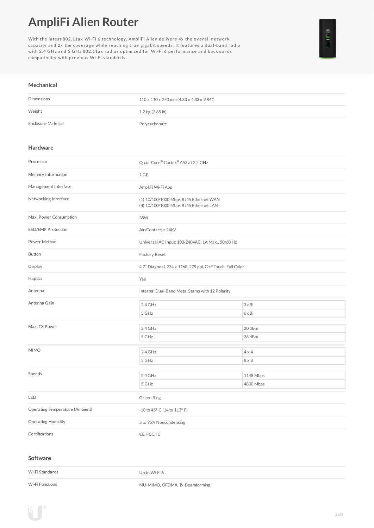## **AmpliFi Alien Router**

With the latest 802.11ax Wi-Fi 6 technology, AmpliFi Alien delivers  $4x$  the overall network capacity and 2x the coverage while reaching true gigabit speeds. It features a dual-band radio with 2.4 GHz and 5 GHz 802.11ax radios optimized for Wi-Fi 6 performance and backwards compatibility with previous Wi-Fi standards.

## **Mechanical**

| <b>Dimensions</b>  | $110 \times 110 \times 250$ mm (4.33 x 4.33 x 9.84") |
|--------------------|------------------------------------------------------|
| Weight             | 1.2 kg (2.65 lb)                                     |
| Enclosure Material | Polycarbonate                                        |

## **Hardware**

| Processor                       | Quad-Core® Cortex® A53 at 2.2 GHz                                                |              |  |
|---------------------------------|----------------------------------------------------------------------------------|--------------|--|
| Memory Information              | 1 GB                                                                             |              |  |
| Management Interface            | AmpliFi Wi-Fi App                                                                |              |  |
| Networking Interface            | (1) 10/100/1000 Mbps RJ45 Ethernet WAN<br>(4) 10/100/1000 Mbps RJ45 Ethernet LAN |              |  |
| Max. Power Consumption          | 35W                                                                              |              |  |
| <b>ESD/EMP Protection</b>       | Air/Contact: ± 24kV                                                              |              |  |
| Power Method                    | Universal AC Input: 100-240VAC, 1A Max., 50/60 Hz                                |              |  |
| Button                          | Factory Reset                                                                    |              |  |
| Display                         | 4.7" Diagonal, 274 x 1268, 279 ppi, G+F Touch, Full Color                        |              |  |
| Haptics                         | Yes                                                                              |              |  |
| Antenna                         | Internal Dual-Band Metal Stamp with 12 Polarity                                  |              |  |
| Antenna Gain                    | 2.4 GHz                                                                          | 3 dBi        |  |
|                                 | 5 GHz                                                                            | 6 dBi        |  |
| Max. TX Power                   | $2.4$ GHz                                                                        | 20 dBm       |  |
|                                 | 5 GHz                                                                            | 36 dBm       |  |
|                                 |                                                                                  |              |  |
| <b>MIMO</b>                     | 2.4 GHz                                                                          | $4 \times 4$ |  |
|                                 | 5 GHz                                                                            | $8 \times 8$ |  |
| Speeds                          | 2.4 GHz                                                                          | 1148 Mbps    |  |
|                                 | 5 GHz                                                                            | 4800 Mbps    |  |
| LED                             | <b>Green Ring</b>                                                                |              |  |
| Operating Temperature (Ambient) | -10 to 45° C (14 to 113° F)                                                      |              |  |
| Operating Humidity              | 5 to 95% Noncondensing                                                           |              |  |
| Certifications                  | CE, FCC, IC                                                                      |              |  |

## **Software**

Wi-Fi Standards Up to Wi-Fi 6 Wi-Fi Functions **MU-MIMO, OFDMA, Tx-Beamforming**